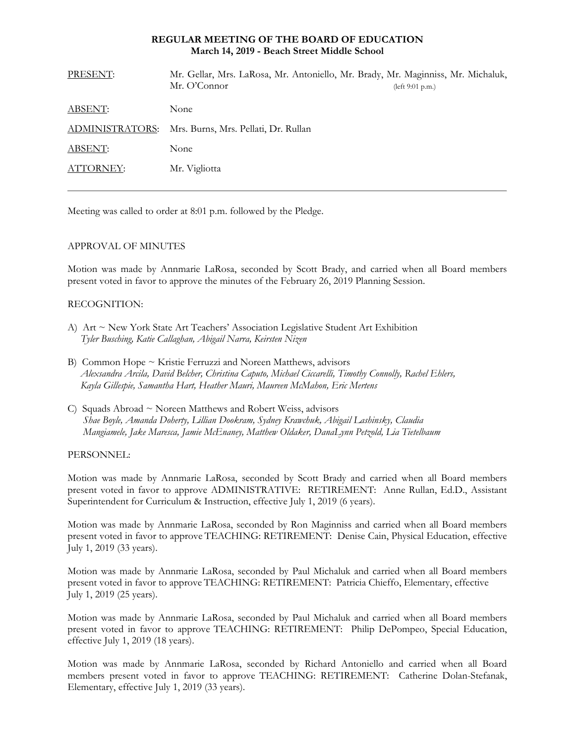## **REGULAR MEETING OF THE BOARD OF EDUCATION March 14, 2019 - Beach Street Middle School**

| PRESENT:        | Mr. Gellar, Mrs. LaRosa, Mr. Antoniello, Mr. Brady, Mr. Maginniss, Mr. Michaluk,<br>Mr. O'Connor | (left 9:01 p.m.) |
|-----------------|--------------------------------------------------------------------------------------------------|------------------|
| ABSENT:         | None                                                                                             |                  |
| ADMINISTRATORS: | Mrs. Burns, Mrs. Pellati, Dr. Rullan                                                             |                  |
| ABSENT:         | None                                                                                             |                  |
| ATTORNEY:       | Mr. Vigliotta                                                                                    |                  |
|                 |                                                                                                  |                  |

Meeting was called to order at 8:01 p.m. followed by the Pledge.

# APPROVAL OF MINUTES

Motion was made by Annmarie LaRosa, seconded by Scott Brady, and carried when all Board members present voted in favor to approve the minutes of the February 26, 2019 Planning Session.

# RECOGNITION:

- A) Art ~ New York State Art Teachers' Association Legislative Student Art Exhibition *Tyler Busching, Katie Callaghan, Abigail Narra, Keirsten Nizen*
- B) Common Hope ~ Kristie Ferruzzi and Noreen Matthews, advisors *Alexsandra Arcila, David Belcher, Christina Caputo, Michael Ciccarelli, Timothy Connolly, Rachel Ehlers, Kayla Gillespie, Samantha Hart, Heather Mauri, Maureen McMahon, Eric Mertens*
- C) Squads Abroad  $\sim$  Noreen Matthews and Robert Weiss, advisors *Shae Boyle, Amanda Doherty, Lillian Dookram, Sydney Krawchuk, Abigail Lashinsky, Claudia Mangiamele, Jake Maresca, Jamie McEnaney, Matthew Oldaker, DanaLynn Petzold, Lia Tietelbaum*

PERSONNEL:

Motion was made by Annmarie LaRosa, seconded by Scott Brady and carried when all Board members present voted in favor to approve ADMINISTRATIVE: RETIREMENT: Anne Rullan, Ed.D., Assistant Superintendent for Curriculum & Instruction, effective July 1, 2019 (6 years).

Motion was made by Annmarie LaRosa, seconded by Ron Maginniss and carried when all Board members present voted in favor to approve TEACHING: RETIREMENT: Denise Cain, Physical Education, effective July 1, 2019 (33 years).

Motion was made by Annmarie LaRosa, seconded by Paul Michaluk and carried when all Board members present voted in favor to approve TEACHING: RETIREMENT: Patricia Chieffo, Elementary, effective July 1, 2019 (25 years).

Motion was made by Annmarie LaRosa, seconded by Paul Michaluk and carried when all Board members present voted in favor to approve TEACHING: RETIREMENT: Philip DePompeo, Special Education, effective July 1, 2019 (18 years).

Motion was made by Annmarie LaRosa, seconded by Richard Antoniello and carried when all Board members present voted in favor to approve TEACHING: RETIREMENT: Catherine Dolan-Stefanak, Elementary, effective July 1, 2019 (33 years).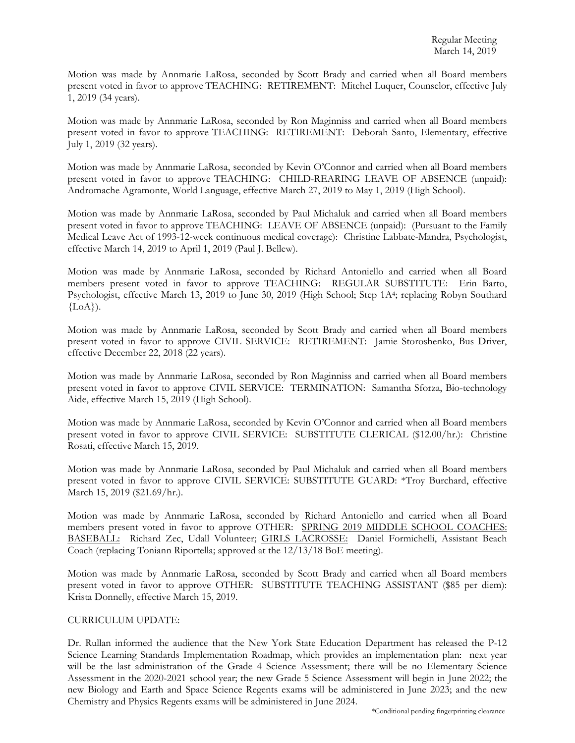Motion was made by Annmarie LaRosa, seconded by Scott Brady and carried when all Board members present voted in favor to approve TEACHING: RETIREMENT: Mitchel Luquer, Counselor, effective July 1, 2019 (34 years).

Motion was made by Annmarie LaRosa, seconded by Ron Maginniss and carried when all Board members present voted in favor to approve TEACHING: RETIREMENT: Deborah Santo, Elementary, effective July 1, 2019 (32 years).

Motion was made by Annmarie LaRosa, seconded by Kevin O'Connor and carried when all Board members present voted in favor to approve TEACHING: CHILD-REARING LEAVE OF ABSENCE (unpaid): Andromache Agramonte, World Language, effective March 27, 2019 to May 1, 2019 (High School).

Motion was made by Annmarie LaRosa, seconded by Paul Michaluk and carried when all Board members present voted in favor to approve TEACHING: LEAVE OF ABSENCE (unpaid): (Pursuant to the Family Medical Leave Act of 1993-12-week continuous medical coverage): Christine Labbate-Mandra, Psychologist, effective March 14, 2019 to April 1, 2019 (Paul J. Bellew).

Motion was made by Annmarie LaRosa, seconded by Richard Antoniello and carried when all Board members present voted in favor to approve TEACHING: REGULAR SUBSTITUTE: Erin Barto, Psychologist, effective March 13, 2019 to June 30, 2019 (High School; Step 1A4; replacing Robyn Southard  ${LoA}.$ 

Motion was made by Annmarie LaRosa, seconded by Scott Brady and carried when all Board members present voted in favor to approve CIVIL SERVICE: RETIREMENT: Jamie Storoshenko, Bus Driver, effective December 22, 2018 (22 years).

Motion was made by Annmarie LaRosa, seconded by Ron Maginniss and carried when all Board members present voted in favor to approve CIVIL SERVICE: TERMINATION: Samantha Sforza, Bio-technology Aide, effective March 15, 2019 (High School).

Motion was made by Annmarie LaRosa, seconded by Kevin O'Connor and carried when all Board members present voted in favor to approve CIVIL SERVICE: SUBSTITUTE CLERICAL (\$12.00/hr.): Christine Rosati, effective March 15, 2019.

Motion was made by Annmarie LaRosa, seconded by Paul Michaluk and carried when all Board members present voted in favor to approve CIVIL SERVICE: SUBSTITUTE GUARD: \*Troy Burchard, effective March 15, 2019 (\$21.69/hr.).

Motion was made by Annmarie LaRosa, seconded by Richard Antoniello and carried when all Board members present voted in favor to approve OTHER: SPRING 2019 MIDDLE SCHOOL COACHES: BASEBALL: Richard Zec, Udall Volunteer; GIRLS LACROSSE: Daniel Formichelli, Assistant Beach Coach (replacing Toniann Riportella; approved at the 12/13/18 BoE meeting).

Motion was made by Annmarie LaRosa, seconded by Scott Brady and carried when all Board members present voted in favor to approve OTHER: SUBSTITUTE TEACHING ASSISTANT (\$85 per diem): Krista Donnelly, effective March 15, 2019.

## CURRICULUM UPDATE:

Dr. Rullan informed the audience that the New York State Education Department has released the P-12 Science Learning Standards Implementation Roadmap, which provides an implementation plan: next year will be the last administration of the Grade 4 Science Assessment; there will be no Elementary Science Assessment in the 2020-2021 school year; the new Grade 5 Science Assessment will begin in June 2022; the new Biology and Earth and Space Science Regents exams will be administered in June 2023; and the new Chemistry and Physics Regents exams will be administered in June 2024.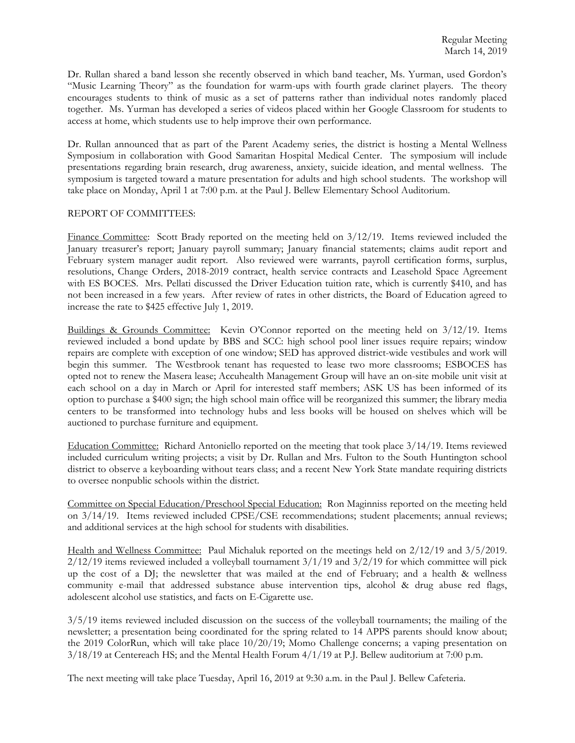Dr. Rullan shared a band lesson she recently observed in which band teacher, Ms. Yurman, used Gordon's "Music Learning Theory" as the foundation for warm-ups with fourth grade clarinet players. The theory encourages students to think of music as a set of patterns rather than individual notes randomly placed together. Ms. Yurman has developed a series of videos placed within her Google Classroom for students to access at home, which students use to help improve their own performance.

Dr. Rullan announced that as part of the Parent Academy series, the district is hosting a Mental Wellness Symposium in collaboration with Good Samaritan Hospital Medical Center. The symposium will include presentations regarding brain research, drug awareness, anxiety, suicide ideation, and mental wellness. The symposium is targeted toward a mature presentation for adults and high school students. The workshop will take place on Monday, April 1 at 7:00 p.m. at the Paul J. Bellew Elementary School Auditorium.

# REPORT OF COMMITTEES:

Finance Committee: Scott Brady reported on the meeting held on 3/12/19. Items reviewed included the January treasurer's report; January payroll summary; January financial statements; claims audit report and February system manager audit report. Also reviewed were warrants, payroll certification forms, surplus, resolutions, Change Orders, 2018-2019 contract, health service contracts and Leasehold Space Agreement with ES BOCES. Mrs. Pellati discussed the Driver Education tuition rate, which is currently \$410, and has not been increased in a few years. After review of rates in other districts, the Board of Education agreed to increase the rate to \$425 effective July 1, 2019.

Buildings & Grounds Committee: Kevin O'Connor reported on the meeting held on 3/12/19. Items reviewed included a bond update by BBS and SCC: high school pool liner issues require repairs; window repairs are complete with exception of one window; SED has approved district-wide vestibules and work will begin this summer. The Westbrook tenant has requested to lease two more classrooms; ESBOCES has opted not to renew the Masera lease; Accuhealth Management Group will have an on-site mobile unit visit at each school on a day in March or April for interested staff members; ASK US has been informed of its option to purchase a \$400 sign; the high school main office will be reorganized this summer; the library media centers to be transformed into technology hubs and less books will be housed on shelves which will be auctioned to purchase furniture and equipment.

Education Committee: Richard Antoniello reported on the meeting that took place 3/14/19. Items reviewed included curriculum writing projects; a visit by Dr. Rullan and Mrs. Fulton to the South Huntington school district to observe a keyboarding without tears class; and a recent New York State mandate requiring districts to oversee nonpublic schools within the district.

Committee on Special Education/Preschool Special Education: Ron Maginniss reported on the meeting held on 3/14/19. Items reviewed included CPSE/CSE recommendations; student placements; annual reviews; and additional services at the high school for students with disabilities.

Health and Wellness Committee: Paul Michaluk reported on the meetings held on 2/12/19 and 3/5/2019.  $2/12/19$  items reviewed included a volleyball tournament  $3/1/19$  and  $3/2/19$  for which committee will pick up the cost of a DJ; the newsletter that was mailed at the end of February; and a health & wellness community e-mail that addressed substance abuse intervention tips, alcohol & drug abuse red flags, adolescent alcohol use statistics, and facts on E-Cigarette use.

3/5/19 items reviewed included discussion on the success of the volleyball tournaments; the mailing of the newsletter; a presentation being coordinated for the spring related to 14 APPS parents should know about; the 2019 ColorRun, which will take place 10/20/19; Momo Challenge concerns; a vaping presentation on  $3/18/19$  at Centereach HS; and the Mental Health Forum  $4/1/19$  at P.J. Bellew auditorium at 7:00 p.m.

The next meeting will take place Tuesday, April 16, 2019 at 9:30 a.m. in the Paul J. Bellew Cafeteria.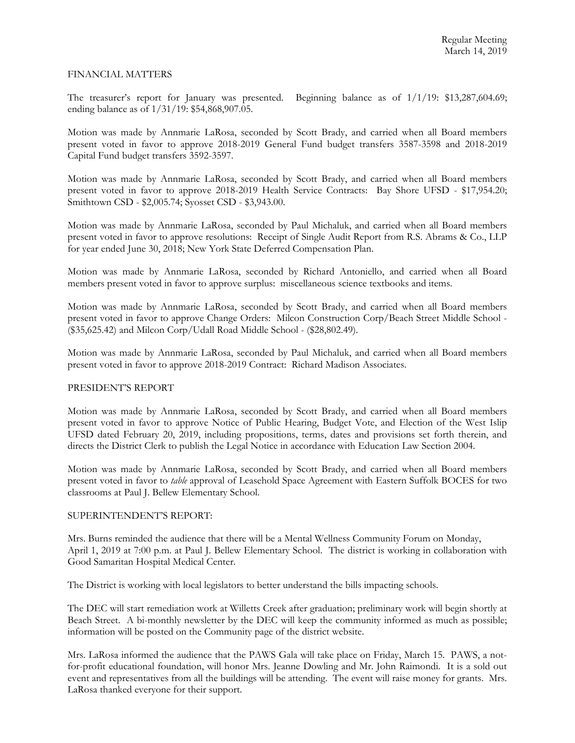## FINANCIAL MATTERS

The treasurer's report for January was presented. Beginning balance as of 1/1/19: \$13,287,604.69; ending balance as of 1/31/19: \$54,868,907.05.

Motion was made by Annmarie LaRosa, seconded by Scott Brady, and carried when all Board members present voted in favor to approve 2018-2019 General Fund budget transfers 3587-3598 and 2018-2019 Capital Fund budget transfers 3592-3597.

Motion was made by Annmarie LaRosa, seconded by Scott Brady, and carried when all Board members present voted in favor to approve 2018-2019 Health Service Contracts: Bay Shore UFSD - \$17,954.20; Smithtown CSD - \$2,005.74; Syosset CSD - \$3,943.00.

Motion was made by Annmarie LaRosa, seconded by Paul Michaluk, and carried when all Board members present voted in favor to approve resolutions: Receipt of Single Audit Report from R.S. Abrams & Co., LLP for year ended June 30, 2018; New York State Deferred Compensation Plan.

Motion was made by Annmarie LaRosa, seconded by Richard Antoniello, and carried when all Board members present voted in favor to approve surplus: miscellaneous science textbooks and items.

Motion was made by Annmarie LaRosa, seconded by Scott Brady, and carried when all Board members present voted in favor to approve Change Orders: Milcon Construction Corp/Beach Street Middle School - (\$35,625.42) and Milcon Corp/Udall Road Middle School - (\$28,802.49).

Motion was made by Annmarie LaRosa, seconded by Paul Michaluk, and carried when all Board members present voted in favor to approve 2018-2019 Contract: Richard Madison Associates.

## PRESIDENT'S REPORT

Motion was made by Annmarie LaRosa, seconded by Scott Brady, and carried when all Board members present voted in favor to approve Notice of Public Hearing, Budget Vote, and Election of the West Islip UFSD dated February 20, 2019, including propositions, terms, dates and provisions set forth therein, and directs the District Clerk to publish the Legal Notice in accordance with Education Law Section 2004.

Motion was made by Annmarie LaRosa, seconded by Scott Brady, and carried when all Board members present voted in favor to *table* approval of Leasehold Space Agreement with Eastern Suffolk BOCES for two classrooms at Paul J. Bellew Elementary School.

## SUPERINTENDENT'S REPORT:

Mrs. Burns reminded the audience that there will be a Mental Wellness Community Forum on Monday, April 1, 2019 at 7:00 p.m. at Paul J. Bellew Elementary School. The district is working in collaboration with Good Samaritan Hospital Medical Center.

The District is working with local legislators to better understand the bills impacting schools.

The DEC will start remediation work at Willetts Creek after graduation; preliminary work will begin shortly at Beach Street. A bi-monthly newsletter by the DEC will keep the community informed as much as possible; information will be posted on the Community page of the district website.

Mrs. LaRosa informed the audience that the PAWS Gala will take place on Friday, March 15. PAWS, a notfor-profit educational foundation, will honor Mrs. Jeanne Dowling and Mr. John Raimondi. It is a sold out event and representatives from all the buildings will be attending. The event will raise money for grants. Mrs. LaRosa thanked everyone for their support.